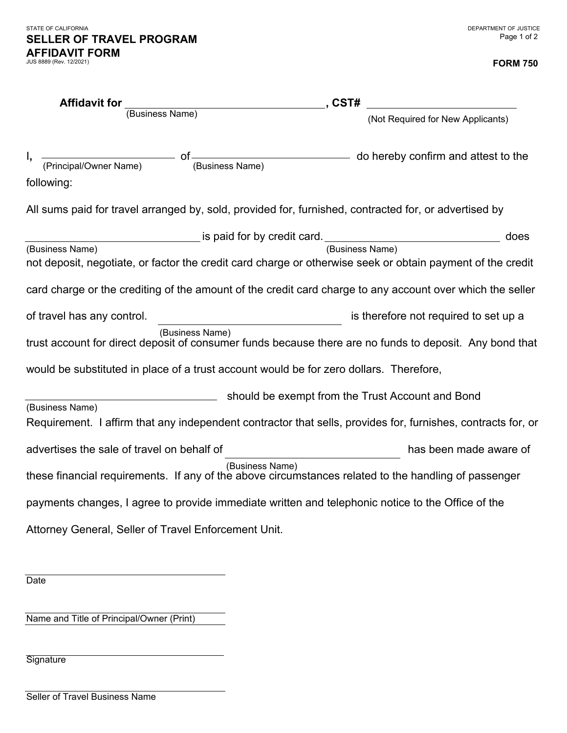## **FORM 750**

| <b>Affidavit for</b>                                                                   |                                                                                 | , CST#<br><u> 1980 - Johann Barbara, martxa alemaniar a</u>                                                  |
|----------------------------------------------------------------------------------------|---------------------------------------------------------------------------------|--------------------------------------------------------------------------------------------------------------|
| (Business Name)                                                                        |                                                                                 | (Not Required for New Applicants)                                                                            |
| following:                                                                             |                                                                                 | $\frac{1}{2}$ of $\frac{1}{2}$ of $\frac{1}{2}$ (Business Name)                                              |
|                                                                                        |                                                                                 | All sums paid for travel arranged by, sold, provided for, furnished, contracted for, or advertised by        |
|                                                                                        | ____________________ is paid for by credit card. ______________________________ | does                                                                                                         |
| (Business Name)                                                                        |                                                                                 | (Business Name)                                                                                              |
|                                                                                        |                                                                                 | not deposit, negotiate, or factor the credit card charge or otherwise seek or obtain payment of the credit   |
|                                                                                        |                                                                                 | card charge or the crediting of the amount of the credit card charge to any account over which the seller    |
| of travel has any control.                                                             |                                                                                 | is therefore not required to set up a                                                                        |
|                                                                                        | (Business Name)                                                                 | trust account for direct deposit of consumer funds because there are no funds to deposit. Any bond that      |
| would be substituted in place of a trust account would be for zero dollars. Therefore, |                                                                                 |                                                                                                              |
| (Business Name)                                                                        |                                                                                 | should be exempt from the Trust Account and Bond                                                             |
|                                                                                        |                                                                                 | Requirement. I affirm that any independent contractor that sells, provides for, furnishes, contracts for, or |
| advertises the sale of travel on behalf of                                             | <u> 1989 - Johann Barn, mars ann an t-Amhair an t-A</u>                         | has been made aware of                                                                                       |
|                                                                                        | (Business Name)                                                                 | these financial requirements. If any of the above circumstances related to the handling of passenger         |
|                                                                                        |                                                                                 | payments changes, I agree to provide immediate written and telephonic notice to the Office of the            |
| Attorney General, Seller of Travel Enforcement Unit.                                   |                                                                                 |                                                                                                              |

Date

Name and Title of Principal/Owner (Print)

**Signature** 

Seller of Travel Business Name